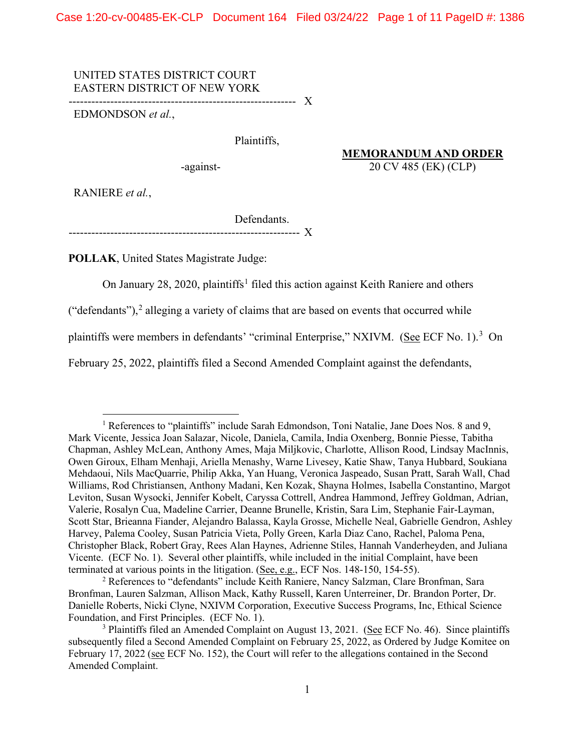Case 1:20-cv-00485-EK-CLP Document 164 Filed 03/24/22 Page 1 of 11 PageID #: 1386

## UNITED STATES DISTRICT COURT EASTERN DISTRICT OF NEW YORK

------------------------------------------------------------ X

EDMONDSON *et al.*,

Plaintiffs,

-against- 20 CV 485 (EK) (CLP)

**MEMORANDUM AND ORDER**

RANIERE *et al.*,

Defendants.

------------------------------------------------------------- X

**POLLAK**, United States Magistrate Judge:

On January 28, 2020, plaintiffs<sup>1</sup> filed this action against Keith Raniere and others

("defendants"), $2$  alleging a variety of claims that are based on events that occurred while

plaintiffs were members in defendants' "criminal Enterprise," NXIVM. (See ECF No. 1).<sup>3</sup> On

February 25, 2022, plaintiffs filed a Second Amended Complaint against the defendants,

<sup>&</sup>lt;sup>1</sup> References to "plaintiffs" include Sarah Edmondson, Toni Natalie, Jane Does Nos. 8 and 9, Mark Vicente, Jessica Joan Salazar, Nicole, Daniela, Camila, India Oxenberg, Bonnie Piesse, Tabitha Chapman, Ashley McLean, Anthony Ames, Maja Miljkovic, Charlotte, Allison Rood, Lindsay MacInnis, Owen Giroux, Elham Menhaji, Ariella Menashy, Warne Livesey, Katie Shaw, Tanya Hubbard, Soukiana Mehdaoui, Nils MacQuarrie, Philip Akka, Yan Huang, Veronica Jaspeado, Susan Pratt, Sarah Wall, Chad Williams, Rod Christiansen, Anthony Madani, Ken Kozak, Shayna Holmes, Isabella Constantino, Margot Leviton, Susan Wysocki, Jennifer Kobelt, Caryssa Cottrell, Andrea Hammond, Jeffrey Goldman, Adrian, Valerie, Rosalyn Cua, Madeline Carrier, Deanne Brunelle, Kristin, Sara Lim, Stephanie Fair-Layman, Scott Star, Brieanna Fiander, Alejandro Balassa, Kayla Grosse, Michelle Neal, Gabrielle Gendron, Ashley Harvey, Palema Cooley, Susan Patricia Vieta, Polly Green, Karla Diaz Cano, Rachel, Paloma Pena, Christopher Black, Robert Gray, Rees Alan Haynes, Adrienne Stiles, Hannah Vanderheyden, and Juliana Vicente. (ECF No. 1). Several other plaintiffs, while included in the initial Complaint, have been terminated at various points in the litigation. (See, e.g., ECF Nos. 148-150, 154-55).

<sup>2</sup> References to "defendants" include Keith Raniere, Nancy Salzman, Clare Bronfman, Sara Bronfman, Lauren Salzman, Allison Mack, Kathy Russell, Karen Unterreiner, Dr. Brandon Porter, Dr. Danielle Roberts, Nicki Clyne, NXIVM Corporation, Executive Success Programs, Inc, Ethical Science Foundation, and First Principles. (ECF No. 1).

<sup>&</sup>lt;sup>3</sup> Plaintiffs filed an Amended Complaint on August 13, 2021. (See ECF No. 46). Since plaintiffs subsequently filed a Second Amended Complaint on February 25, 2022, as Ordered by Judge Komitee on February 17, 2022 (see ECF No. 152), the Court will refer to the allegations contained in the Second Amended Complaint.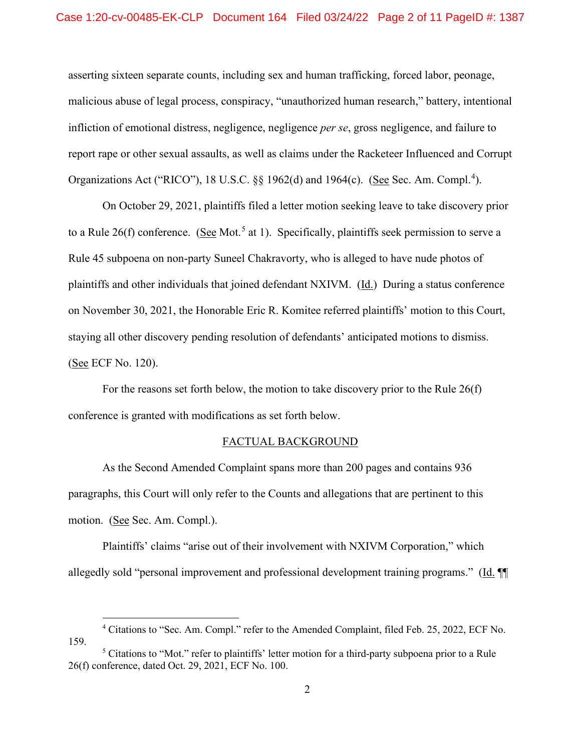asserting sixteen separate counts, including sex and human trafficking, forced labor, peonage, malicious abuse of legal process, conspiracy, "unauthorized human research," battery, intentional infliction of emotional distress, negligence, negligence *per se*, gross negligence, and failure to report rape or other sexual assaults, as well as claims under the Racketeer Influenced and Corrupt Organizations Act ("RICO"), 18 U.S.C. §§ 1962(d) and 1964(c). (See Sec. Am. Compl.<sup>4</sup>).

On October 29, 2021, plaintiffs filed a letter motion seeking leave to take discovery prior to a Rule 26(f) conference. (See Mot.<sup>5</sup> at 1). Specifically, plaintiffs seek permission to serve a Rule 45 subpoena on non-party Suneel Chakravorty, who is alleged to have nude photos of plaintiffs and other individuals that joined defendant NXIVM. (Id.) During a status conference on November 30, 2021, the Honorable Eric R. Komitee referred plaintiffs' motion to this Court, staying all other discovery pending resolution of defendants' anticipated motions to dismiss. (See ECF No. 120).

For the reasons set forth below, the motion to take discovery prior to the Rule 26(f) conference is granted with modifications as set forth below.

### FACTUAL BACKGROUND

As the Second Amended Complaint spans more than 200 pages and contains 936 paragraphs, this Court will only refer to the Counts and allegations that are pertinent to this motion. (See Sec. Am. Compl.).

Plaintiffs' claims "arise out of their involvement with NXIVM Corporation," which allegedly sold "personal improvement and professional development training programs." (Id. ¶¶

<sup>4</sup> Citations to "Sec. Am. Compl." refer to the Amended Complaint, filed Feb. 25, 2022, ECF No. 159.

<sup>&</sup>lt;sup>5</sup> Citations to "Mot." refer to plaintiffs' letter motion for a third-party subpoena prior to a Rule 26(f) conference, dated Oct. 29, 2021, ECF No. 100.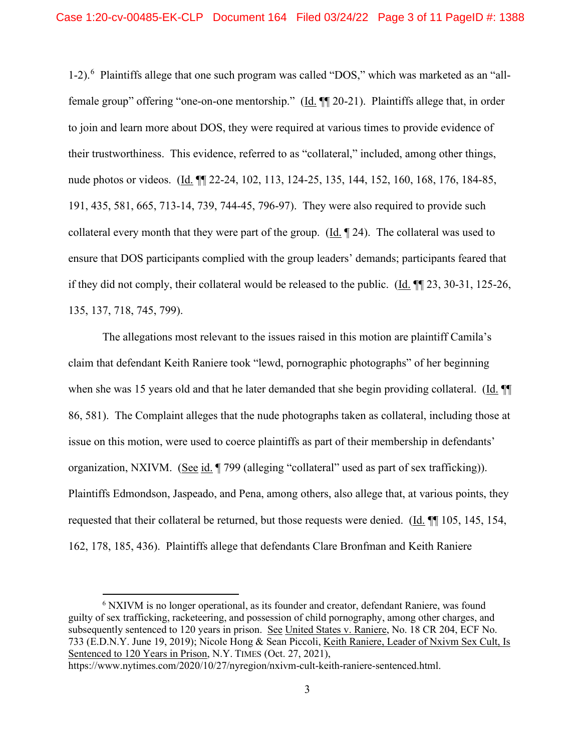1-2).<sup>6</sup> Plaintiffs allege that one such program was called "DOS," which was marketed as an "allfemale group" offering "one-on-one mentorship." (Id. ¶¶ 20-21). Plaintiffs allege that, in order to join and learn more about DOS, they were required at various times to provide evidence of their trustworthiness. This evidence, referred to as "collateral," included, among other things, nude photos or videos. (Id. ¶¶ 22-24, 102, 113, 124-25, 135, 144, 152, 160, 168, 176, 184-85, 191, 435, 581, 665, 713-14, 739, 744-45, 796-97). They were also required to provide such collateral every month that they were part of the group. (Id. ¶ 24). The collateral was used to ensure that DOS participants complied with the group leaders' demands; participants feared that if they did not comply, their collateral would be released to the public. (Id. ¶¶ 23, 30-31, 125-26, 135, 137, 718, 745, 799).

The allegations most relevant to the issues raised in this motion are plaintiff Camila's claim that defendant Keith Raniere took "lewd, pornographic photographs" of her beginning when she was 15 years old and that he later demanded that she begin providing collateral. (Id.  $\P$ 86, 581). The Complaint alleges that the nude photographs taken as collateral, including those at issue on this motion, were used to coerce plaintiffs as part of their membership in defendants' organization, NXIVM. (See id. ¶ 799 (alleging "collateral" used as part of sex trafficking)). Plaintiffs Edmondson, Jaspeado, and Pena, among others, also allege that, at various points, they requested that their collateral be returned, but those requests were denied. (Id. ¶¶ 105, 145, 154, 162, 178, 185, 436). Plaintiffs allege that defendants Clare Bronfman and Keith Raniere

https://www.nytimes.com/2020/10/27/nyregion/nxivm-cult-keith-raniere-sentenced.html.

<sup>&</sup>lt;sup>6</sup> NXIVM is no longer operational, as its founder and creator, defendant Raniere, was found guilty of sex trafficking, racketeering, and possession of child pornography, among other charges, and subsequently sentenced to 120 years in prison. See United States v. Raniere, No. 18 CR 204, ECF No. 733 (E.D.N.Y. June 19, 2019); Nicole Hong & Sean Piccoli, Keith Raniere, Leader of Nxivm Sex Cult, Is Sentenced to 120 Years in Prison, N.Y. TIMES (Oct. 27, 2021),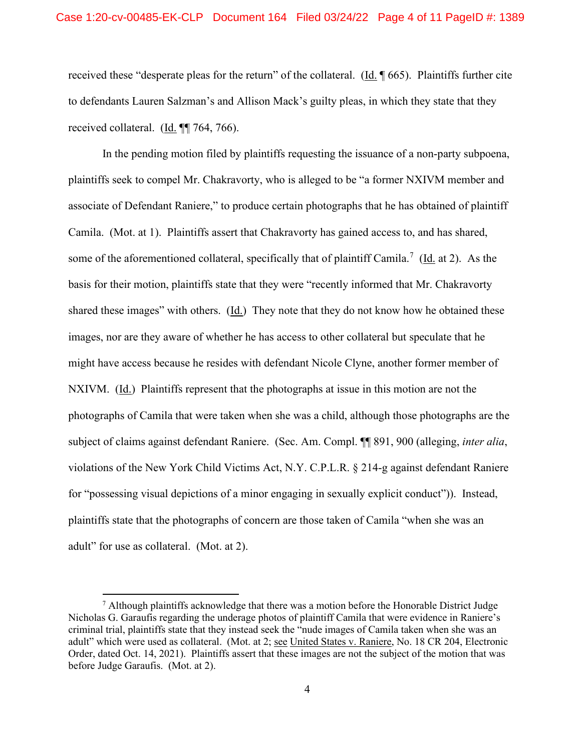received these "desperate pleas for the return" of the collateral. ( $\underline{Id}$ .  $\P$  665). Plaintiffs further cite to defendants Lauren Salzman's and Allison Mack's guilty pleas, in which they state that they received collateral. (Id. ¶¶ 764, 766).

In the pending motion filed by plaintiffs requesting the issuance of a non-party subpoena, plaintiffs seek to compel Mr. Chakravorty, who is alleged to be "a former NXIVM member and associate of Defendant Raniere," to produce certain photographs that he has obtained of plaintiff Camila. (Mot. at 1). Plaintiffs assert that Chakravorty has gained access to, and has shared, some of the aforementioned collateral, specifically that of plaintiff Camila.<sup>7</sup> ( $\underline{Id}$  at 2). As the basis for their motion, plaintiffs state that they were "recently informed that Mr. Chakravorty shared these images" with others. (Id.) They note that they do not know how he obtained these images, nor are they aware of whether he has access to other collateral but speculate that he might have access because he resides with defendant Nicole Clyne, another former member of NXIVM. (Id.) Plaintiffs represent that the photographs at issue in this motion are not the photographs of Camila that were taken when she was a child, although those photographs are the subject of claims against defendant Raniere. (Sec. Am. Compl. ¶¶ 891, 900 (alleging, *inter alia*, violations of the New York Child Victims Act, N.Y. C.P.L.R. § 214-g against defendant Raniere for "possessing visual depictions of a minor engaging in sexually explicit conduct")). Instead, plaintiffs state that the photographs of concern are those taken of Camila "when she was an adult" for use as collateral. (Mot. at 2).

 $<sup>7</sup>$  Although plaintiffs acknowledge that there was a motion before the Honorable District Judge</sup> Nicholas G. Garaufis regarding the underage photos of plaintiff Camila that were evidence in Raniere's criminal trial, plaintiffs state that they instead seek the "nude images of Camila taken when she was an adult" which were used as collateral. (Mot. at 2; see United States v. Raniere, No. 18 CR 204, Electronic Order, dated Oct. 14, 2021). Plaintiffs assert that these images are not the subject of the motion that was before Judge Garaufis. (Mot. at 2).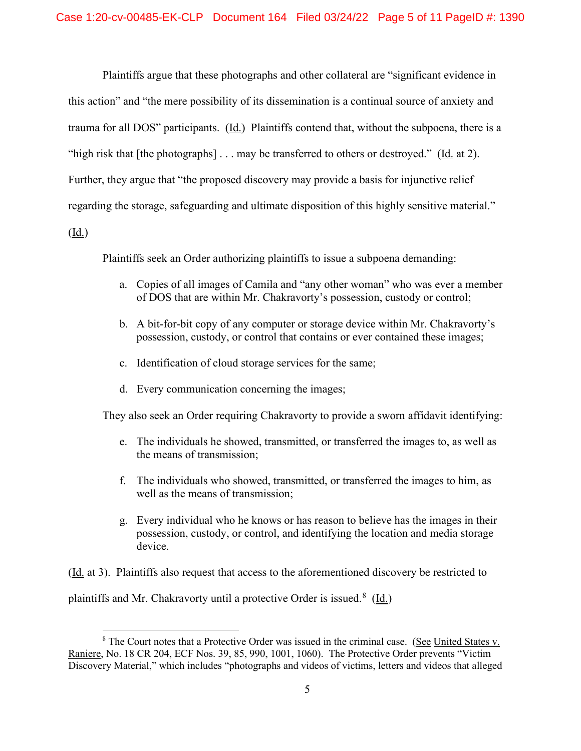Plaintiffs argue that these photographs and other collateral are "significant evidence in this action" and "the mere possibility of its dissemination is a continual source of anxiety and trauma for all DOS" participants. (Id.) Plaintiffs contend that, without the subpoena, there is a "high risk that [the photographs] . . . may be transferred to others or destroyed." (Id. at 2). Further, they argue that "the proposed discovery may provide a basis for injunctive relief regarding the storage, safeguarding and ultimate disposition of this highly sensitive material."  $(\underline{Id.})$ 

Plaintiffs seek an Order authorizing plaintiffs to issue a subpoena demanding:

- a. Copies of all images of Camila and "any other woman" who was ever a member of DOS that are within Mr. Chakravorty's possession, custody or control;
- b. A bit-for-bit copy of any computer or storage device within Mr. Chakravorty's possession, custody, or control that contains or ever contained these images;
- c. Identification of cloud storage services for the same;
- d. Every communication concerning the images;

They also seek an Order requiring Chakravorty to provide a sworn affidavit identifying:

- e. The individuals he showed, transmitted, or transferred the images to, as well as the means of transmission;
- f. The individuals who showed, transmitted, or transferred the images to him, as well as the means of transmission;
- g. Every individual who he knows or has reason to believe has the images in their possession, custody, or control, and identifying the location and media storage device.

(Id. at 3). Plaintiffs also request that access to the aforementioned discovery be restricted to plaintiffs and Mr. Chakravorty until a protective Order is issued.<sup>8</sup> (Id.)

<sup>&</sup>lt;sup>8</sup> The Court notes that a Protective Order was issued in the criminal case. (See United States v. Raniere, No. 18 CR 204, ECF Nos. 39, 85, 990, 1001, 1060). The Protective Order prevents "Victim Discovery Material," which includes "photographs and videos of victims, letters and videos that alleged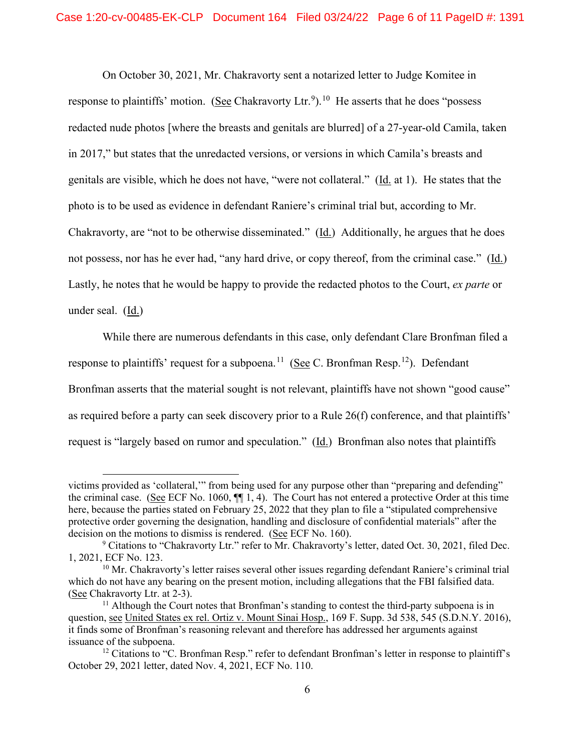On October 30, 2021, Mr. Chakravorty sent a notarized letter to Judge Komitee in response to plaintiffs' motion. (See Chakravorty Ltr.<sup>9</sup>).<sup>10</sup> He asserts that he does "possess redacted nude photos [where the breasts and genitals are blurred] of a 27-year-old Camila, taken in 2017," but states that the unredacted versions, or versions in which Camila's breasts and genitals are visible, which he does not have, "were not collateral." (Id. at 1). He states that the photo is to be used as evidence in defendant Raniere's criminal trial but, according to Mr. Chakravorty, are "not to be otherwise disseminated." (Id.) Additionally, he argues that he does not possess, nor has he ever had, "any hard drive, or copy thereof, from the criminal case." (Id.) Lastly, he notes that he would be happy to provide the redacted photos to the Court, *ex parte* or under seal. (Id.)

While there are numerous defendants in this case, only defendant Clare Bronfman filed a response to plaintiffs' request for a subpoena.<sup>11</sup> (See C. Bronfman Resp.<sup>12</sup>). Defendant Bronfman asserts that the material sought is not relevant, plaintiffs have not shown "good cause" as required before a party can seek discovery prior to a Rule 26(f) conference, and that plaintiffs' request is "largely based on rumor and speculation." (Id.) Bronfman also notes that plaintiffs

victims provided as 'collateral,'" from being used for any purpose other than "preparing and defending" the criminal case. (See ECF No. 1060, ¶¶ 1, 4). The Court has not entered a protective Order at this time here, because the parties stated on February 25, 2022 that they plan to file a "stipulated comprehensive protective order governing the designation, handling and disclosure of confidential materials" after the decision on the motions to dismiss is rendered. (See ECF No. 160).

<sup>9</sup> Citations to "Chakravorty Ltr." refer to Mr. Chakravorty's letter, dated Oct. 30, 2021, filed Dec. 1, 2021, ECF No. 123.

 $10$  Mr. Chakravorty's letter raises several other issues regarding defendant Raniere's criminal trial which do not have any bearing on the present motion, including allegations that the FBI falsified data. (See Chakravorty Ltr. at 2-3).

 $11$  Although the Court notes that Bronfman's standing to contest the third-party subpoena is in question, see United States ex rel. Ortiz v. Mount Sinai Hosp., 169 F. Supp. 3d 538, 545 (S.D.N.Y. 2016), it finds some of Bronfman's reasoning relevant and therefore has addressed her arguments against issuance of the subpoena.

 $12$  Citations to "C. Bronfman Resp." refer to defendant Bronfman's letter in response to plaintiff's October 29, 2021 letter, dated Nov. 4, 2021, ECF No. 110.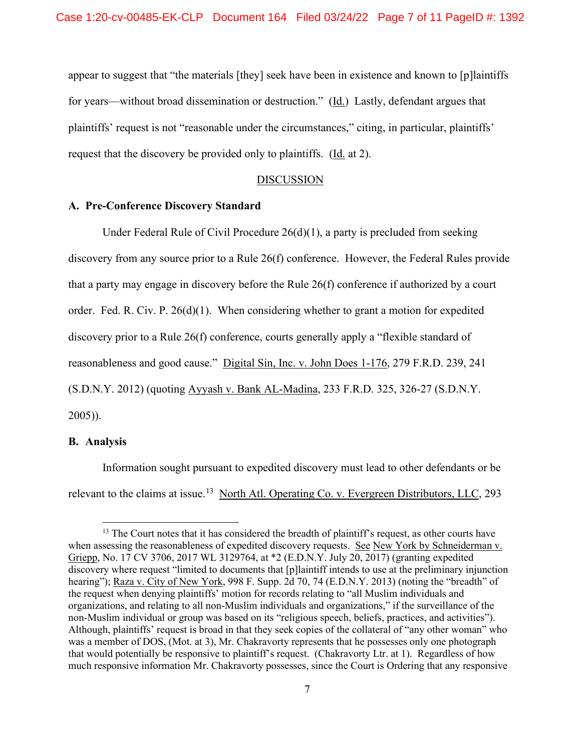appear to suggest that "the materials [they] seek have been in existence and known to [p]laintiffs for years—without broad dissemination or destruction." (Id.) Lastly, defendant argues that plaintiffs' request is not "reasonable under the circumstances," citing, in particular, plaintiffs' request that the discovery be provided only to plaintiffs. (Id. at 2).

#### DISCUSSION

#### **A. Pre-Conference Discovery Standard**

Under Federal Rule of Civil Procedure  $26(d)(1)$ , a party is precluded from seeking discovery from any source prior to a Rule 26(f) conference. However, the Federal Rules provide that a party may engage in discovery before the Rule 26(f) conference if authorized by a court order. Fed. R. Civ. P.  $26(d)(1)$ . When considering whether to grant a motion for expedited discovery prior to a Rule 26(f) conference, courts generally apply a "flexible standard of reasonableness and good cause." Digital Sin, Inc. v. John Does 1-176, 279 F.R.D. 239, 241 (S.D.N.Y. 2012) (quoting Ayyash v. Bank AL-Madina, 233 F.R.D. 325, 326-27 (S.D.N.Y. 2005)).

#### **B. Analysis**

Information sought pursuant to expedited discovery must lead to other defendants or be relevant to the claims at issue.<sup>13</sup> North Atl. Operating Co. v. Evergreen Distributors, LLC, 293

<sup>&</sup>lt;sup>13</sup> The Court notes that it has considered the breadth of plaintiff's request, as other courts have when assessing the reasonableness of expedited discovery requests. See New York by Schneiderman v. Griepp, No. 17 CV 3706, 2017 WL 3129764, at \*2 (E.D.N.Y. July 20, 2017) (granting expedited discovery where request "limited to documents that [p]laintiff intends to use at the preliminary injunction hearing"); Raza v. City of New York, 998 F. Supp. 2d 70, 74 (E.D.N.Y. 2013) (noting the "breadth" of the request when denying plaintiffs' motion for records relating to "all Muslim individuals and organizations, and relating to all non-Muslim individuals and organizations," if the surveillance of the non-Muslim individual or group was based on its "religious speech, beliefs, practices, and activities"). Although, plaintiffs' request is broad in that they seek copies of the collateral of "any other woman" who was a member of DOS, (Mot. at 3), Mr. Chakravorty represents that he possesses only one photograph that would potentially be responsive to plaintiff's request. (Chakravorty Ltr. at 1). Regardless of how much responsive information Mr. Chakravorty possesses, since the Court is Ordering that any responsive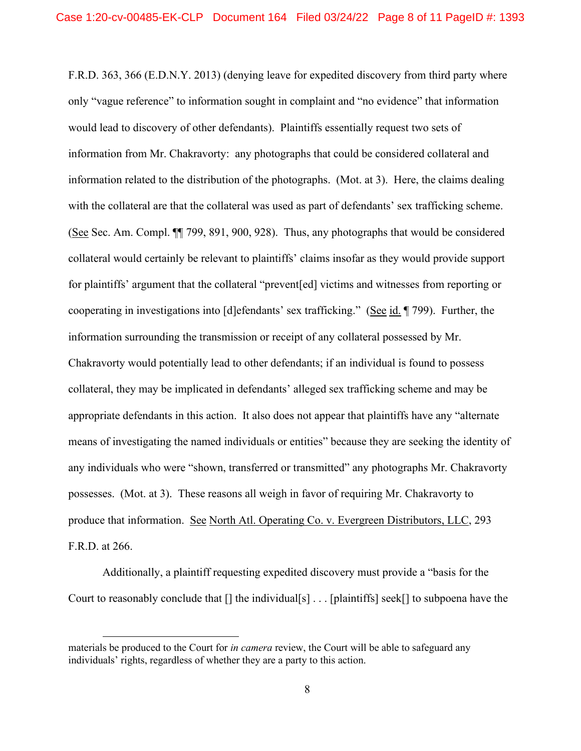F.R.D. 363, 366 (E.D.N.Y. 2013) (denying leave for expedited discovery from third party where only "vague reference" to information sought in complaint and "no evidence" that information would lead to discovery of other defendants). Plaintiffs essentially request two sets of information from Mr. Chakravorty: any photographs that could be considered collateral and information related to the distribution of the photographs. (Mot. at 3). Here, the claims dealing with the collateral are that the collateral was used as part of defendants' sex trafficking scheme. (See Sec. Am. Compl. ¶¶ 799, 891, 900, 928). Thus, any photographs that would be considered collateral would certainly be relevant to plaintiffs' claims insofar as they would provide support for plaintiffs' argument that the collateral "prevent[ed] victims and witnesses from reporting or cooperating in investigations into [d]efendants' sex trafficking." (See id. ¶ 799). Further, the information surrounding the transmission or receipt of any collateral possessed by Mr. Chakravorty would potentially lead to other defendants; if an individual is found to possess collateral, they may be implicated in defendants' alleged sex trafficking scheme and may be appropriate defendants in this action. It also does not appear that plaintiffs have any "alternate means of investigating the named individuals or entities" because they are seeking the identity of any individuals who were "shown, transferred or transmitted" any photographs Mr. Chakravorty possesses. (Mot. at 3). These reasons all weigh in favor of requiring Mr. Chakravorty to produce that information. See North Atl. Operating Co. v. Evergreen Distributors, LLC, 293 F.R.D. at 266.

Additionally, a plaintiff requesting expedited discovery must provide a "basis for the Court to reasonably conclude that [] the individual[s] . . . [plaintiffs] seek[] to subpoena have the

materials be produced to the Court for *in camera* review, the Court will be able to safeguard any individuals' rights, regardless of whether they are a party to this action.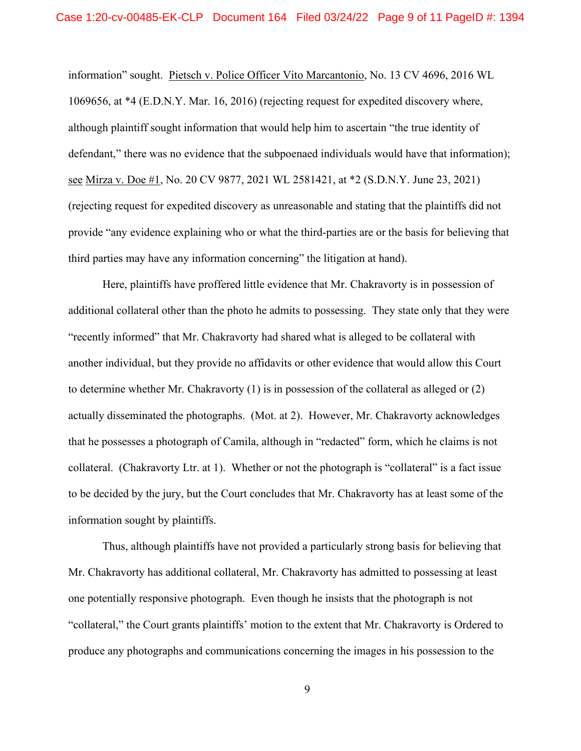information" sought. Pietsch v. Police Officer Vito Marcantonio, No. 13 CV 4696, 2016 WL 1069656, at \*4 (E.D.N.Y. Mar. 16, 2016) (rejecting request for expedited discovery where, although plaintiff sought information that would help him to ascertain "the true identity of defendant," there was no evidence that the subpoenaed individuals would have that information); see Mirza v. Doe #1, No. 20 CV 9877, 2021 WL 2581421, at \*2 (S.D.N.Y. June 23, 2021) (rejecting request for expedited discovery as unreasonable and stating that the plaintiffs did not provide "any evidence explaining who or what the third-parties are or the basis for believing that third parties may have any information concerning" the litigation at hand).

Here, plaintiffs have proffered little evidence that Mr. Chakravorty is in possession of additional collateral other than the photo he admits to possessing. They state only that they were "recently informed" that Mr. Chakravorty had shared what is alleged to be collateral with another individual, but they provide no affidavits or other evidence that would allow this Court to determine whether Mr. Chakravorty (1) is in possession of the collateral as alleged or (2) actually disseminated the photographs. (Mot. at 2). However, Mr. Chakravorty acknowledges that he possesses a photograph of Camila, although in "redacted" form, which he claims is not collateral. (Chakravorty Ltr. at 1). Whether or not the photograph is "collateral" is a fact issue to be decided by the jury, but the Court concludes that Mr. Chakravorty has at least some of the information sought by plaintiffs.

Thus, although plaintiffs have not provided a particularly strong basis for believing that Mr. Chakravorty has additional collateral, Mr. Chakravorty has admitted to possessing at least one potentially responsive photograph. Even though he insists that the photograph is not "collateral," the Court grants plaintiffs' motion to the extent that Mr. Chakravorty is Ordered to produce any photographs and communications concerning the images in his possession to the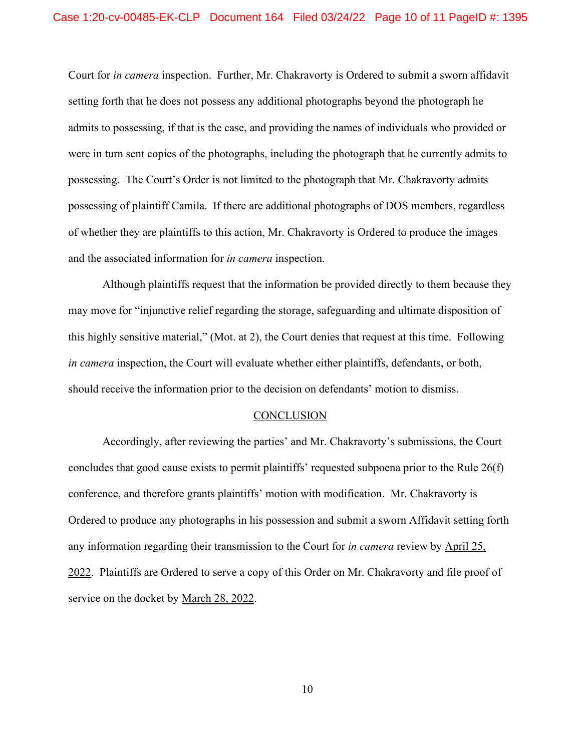Court for *in camera* inspection. Further, Mr. Chakravorty is Ordered to submit a sworn affidavit setting forth that he does not possess any additional photographs beyond the photograph he admits to possessing, if that is the case, and providing the names of individuals who provided or were in turn sent copies of the photographs, including the photograph that he currently admits to possessing. The Court's Order is not limited to the photograph that Mr. Chakravorty admits possessing of plaintiff Camila. If there are additional photographs of DOS members, regardless of whether they are plaintiffs to this action, Mr. Chakravorty is Ordered to produce the images and the associated information for *in camera* inspection.

Although plaintiffs request that the information be provided directly to them because they may move for "injunctive relief regarding the storage, safeguarding and ultimate disposition of this highly sensitive material," (Mot. at 2), the Court denies that request at this time. Following *in camera* inspection, the Court will evaluate whether either plaintiffs, defendants, or both, should receive the information prior to the decision on defendants' motion to dismiss.

#### **CONCLUSION**

Accordingly, after reviewing the parties' and Mr. Chakravorty's submissions, the Court concludes that good cause exists to permit plaintiffs' requested subpoena prior to the Rule 26(f) conference, and therefore grants plaintiffs' motion with modification. Mr. Chakravorty is Ordered to produce any photographs in his possession and submit a sworn Affidavit setting forth any information regarding their transmission to the Court for *in camera* review by April 25, 2022. Plaintiffs are Ordered to serve a copy of this Order on Mr. Chakravorty and file proof of service on the docket by March 28, 2022.

10